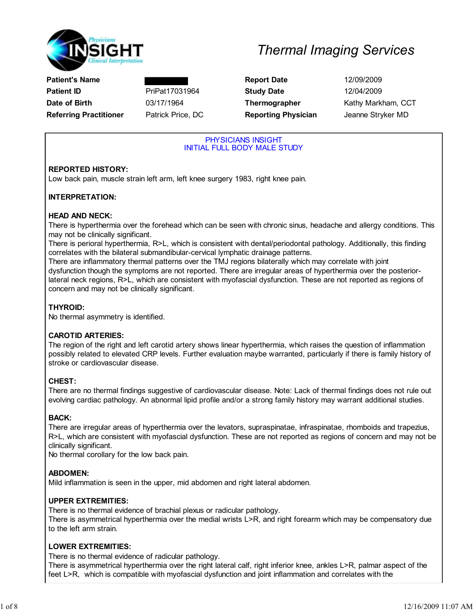

### Patient's Name **Report Date** 12/09/2009 Patient ID **PriPat17031964** Study Date 12/04/2009 Date of Birth **03/17/1964** Thermographer Kathy Markham, CCT Referring Practitioner Fatrick Price, DC **Reporting Physician** Jeanne Stryker MD

#### PHYSICIANS INSIGHT INITIAL FULL BODY MALE STUDY

### REPORTED HISTORY:

Low back pain, muscle strain left arm, left knee surgery 1983, right knee pain.

#### INTERPRETATION:

#### HEAD AND NECK:

There is hyperthermia over the forehead which can be seen with chronic sinus, headache and allergy conditions. This may not be clinically significant.

There is perioral hyperthermia, R>L, which is consistent with dental/periodontal pathology. Additionally, this finding correlates with the bilateral submandibular-cervical lymphatic drainage patterns.

There are inflammatory thermal patterns over the TMJ regions bilaterally which may correlate with joint dysfunction though the symptoms are not reported. There are irregular areas of hyperthermia over the posteriorlateral neck regions, R>L, which are consistent with myofascial dysfunction. These are not reported as regions of concern and may not be clinically significant.

#### THYROID:

No thermal asymmetry is identified.

#### CAROTID ARTERIES:

The region of the right and left carotid artery shows linear hyperthermia, which raises the question of inflammation possibly related to elevated CRP levels. Further evaluation maybe warranted, particularly if there is family history of stroke or cardiovascular disease.

### CHEST:

There are no thermal findings suggestive of cardiovascular disease. Note: Lack of thermal findings does not rule out evolving cardiac pathology. An abnormal lipid profile and/or a strong family history may warrant additional studies.

#### BACK:

There are irregular areas of hyperthermia over the levators, supraspinatae, infraspinatae, rhomboids and trapezius, R>L, which are consistent with myofascial dysfunction. These are not reported as regions of concern and may not be clinically significant.

No thermal corollary for the low back pain.

#### ABDOMEN:

Mild inflammation is seen in the upper, mid abdomen and right lateral abdomen.

#### UPPER EXTREMITIES:

There is no thermal evidence of brachial plexus or radicular pathology. There is asymmetrical hyperthermia over the medial wrists L>R, and right forearm which may be compensatory due to the left arm strain.

#### LOWER EXTREMITIES:

There is no thermal evidence of radicular pathology.

There is asymmetrical hyperthermia over the right lateral calf, right inferior knee, ankles L>R, palmar aspect of the feet L>R, which is compatible with myofascial dysfunction and joint inflammation and correlates with the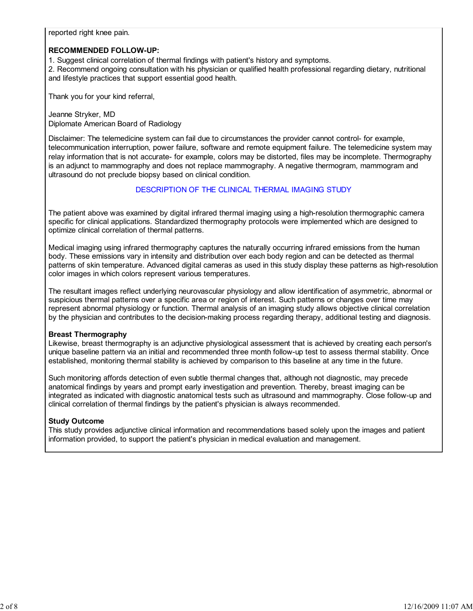reported right knee pain.

#### RECOMMENDED FOLLOW-UP:

1. Suggest clinical correlation of thermal findings with patient's history and symptoms.

2. Recommend ongoing consultation with his physician or qualified health professional regarding dietary, nutritional and lifestyle practices that support essential good health.

Thank you for your kind referral,

Jeanne Stryker, MD Diplomate American Board of Radiology

Disclaimer: The telemedicine system can fail due to circumstances the provider cannot control- for example, telecommunication interruption, power failure, software and remote equipment failure. The telemedicine system may relay information that is not accurate- for example, colors may be distorted, files may be incomplete. Thermography is an adjunct to mammography and does not replace mammography. A negative thermogram, mammogram and ultrasound do not preclude biopsy based on clinical condition.

#### DESCRIPTION OF THE CLINICAL THERMAL IMAGING STUDY

The patient above was examined by digital infrared thermal imaging using a high-resolution thermographic camera specific for clinical applications. Standardized thermography protocols were implemented which are designed to optimize clinical correlation of thermal patterns.

Medical imaging using infrared thermography captures the naturally occurring infrared emissions from the human body. These emissions vary in intensity and distribution over each body region and can be detected as thermal patterns of skin temperature. Advanced digital cameras as used in this study display these patterns as high-resolution color images in which colors represent various temperatures.

The resultant images reflect underlying neurovascular physiology and allow identification of asymmetric, abnormal or suspicious thermal patterns over a specific area or region of interest. Such patterns or changes over time may represent abnormal physiology or function. Thermal analysis of an imaging study allows objective clinical correlation by the physician and contributes to the decision-making process regarding therapy, additional testing and diagnosis.

#### Breast Thermography

Likewise, breast thermography is an adjunctive physiological assessment that is achieved by creating each person's unique baseline pattern via an initial and recommended three month follow-up test to assess thermal stability. Once established, monitoring thermal stability is achieved by comparison to this baseline at any time in the future.

Such monitoring affords detection of even subtle thermal changes that, although not diagnostic, may precede anatomical findings by years and prompt early investigation and prevention. Thereby, breast imaging can be integrated as indicated with diagnostic anatomical tests such as ultrasound and mammography. Close follow-up and clinical correlation of thermal findings by the patient's physician is always recommended.

#### Study Outcome

This study provides adjunctive clinical information and recommendations based solely upon the images and patient information provided, to support the patient's physician in medical evaluation and management.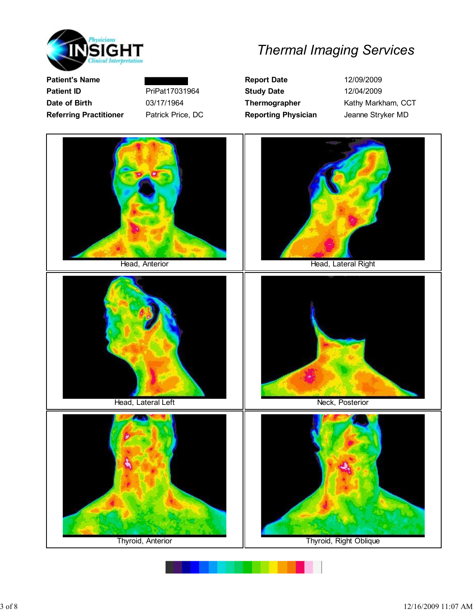

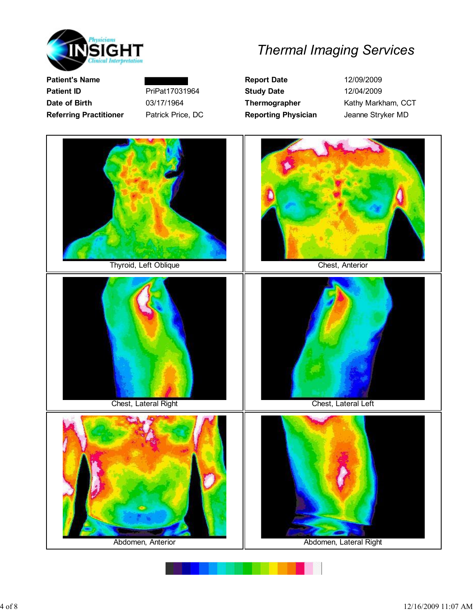

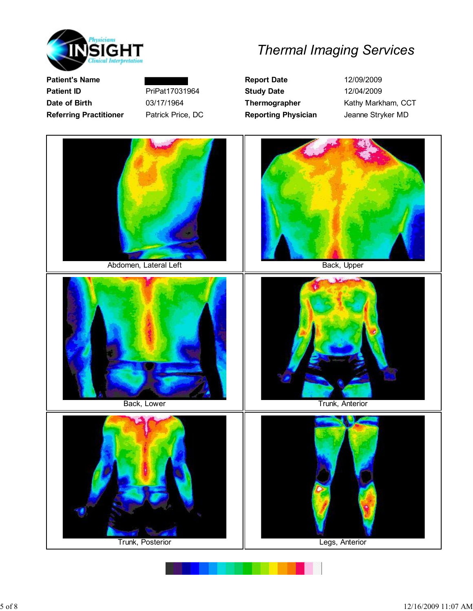

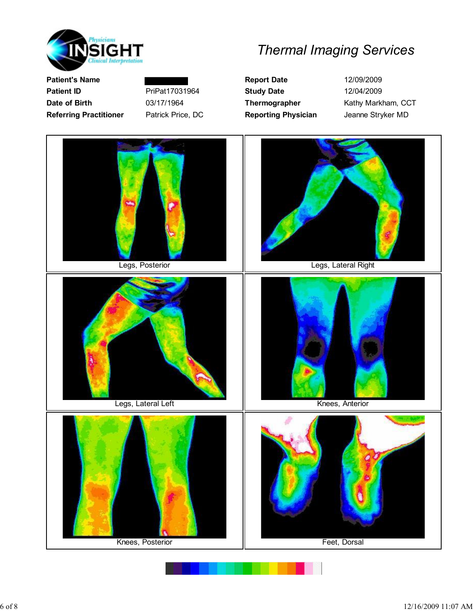

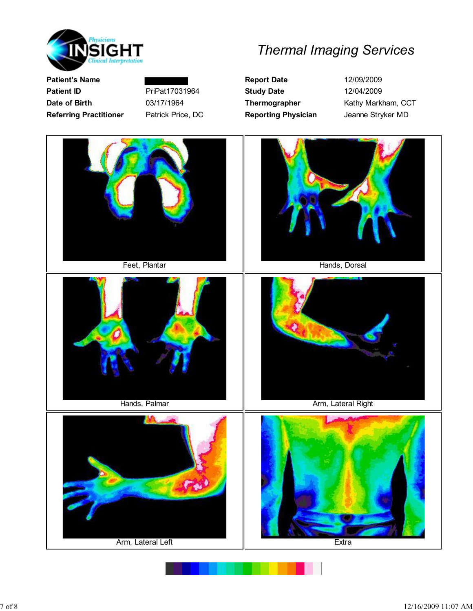